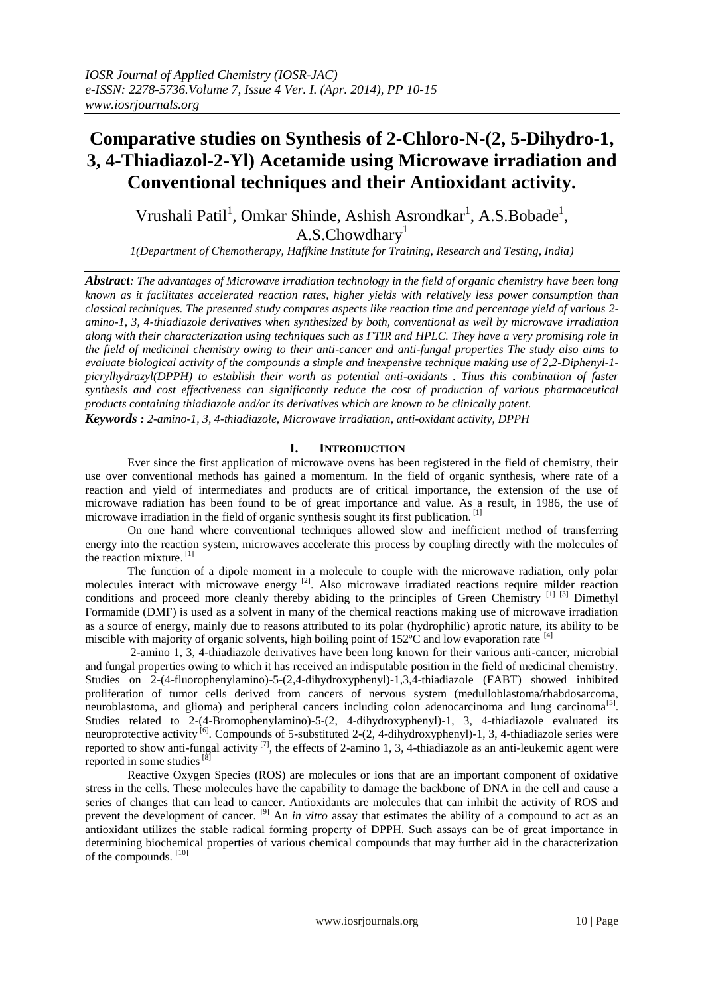# **Comparative studies on Synthesis of 2-Chloro-N-(2, 5-Dihydro-1, 3, 4-Thiadiazol-2-Yl) Acetamide using Microwave irradiation and Conventional techniques and their Antioxidant activity.**

Vrushali Patil<sup>1</sup>, Omkar Shinde, Ashish Asrondkar<sup>1</sup>, A.S.Bobade<sup>1</sup>,  $A.S.C$ howdhary<sup>1</sup>

*1(Department of Chemotherapy, Haffkine Institute for Training, Research and Testing, India)*

*Abstract: The advantages of Microwave irradiation technology in the field of organic chemistry have been long known as it facilitates accelerated reaction rates, higher yields with relatively less power consumption than classical techniques. The presented study compares aspects like reaction time and percentage yield of various 2 amino-1, 3, 4-thiadiazole derivatives when synthesized by both, conventional as well by microwave irradiation along with their characterization using techniques such as FTIR and HPLC. They have a very promising role in the field of medicinal chemistry owing to their anti-cancer and anti-fungal properties The study also aims to evaluate biological activity of the compounds a simple and inexpensive technique making use of 2,2-Diphenyl-1 picrylhydrazyl(DPPH) to establish their worth as potential anti-oxidants . Thus this combination of faster synthesis and cost effectiveness can significantly reduce the cost of production of various pharmaceutical products containing thiadiazole and/or its derivatives which are known to be clinically potent. Keywords : 2-amino-1, 3, 4-thiadiazole, Microwave irradiation, anti-oxidant activity, DPPH*

### **I. INTRODUCTION**

Ever since the first application of microwave ovens has been registered in the field of chemistry, their use over conventional methods has gained a momentum. In the field of organic synthesis, where rate of a reaction and yield of intermediates and products are of critical importance, the extension of the use of microwave radiation has been found to be of great importance and value. As a result, in 1986, the use of microwave irradiation in the field of organic synthesis sought its first publication.<sup>[1]</sup>

On one hand where conventional techniques allowed slow and inefficient method of transferring energy into the reaction system, microwaves accelerate this process by coupling directly with the molecules of the reaction mixture.<sup>[1]</sup>

The function of a dipole moment in a molecule to couple with the microwave radiation, only polar molecules interact with microwave energy <sup>[2]</sup>. Also microwave irradiated reactions require milder reaction conditions and proceed more cleanly thereby abiding to the principles of Green Chemistry [1] [3] Dimethyl Formamide (DMF) is used as a solvent in many of the chemical reactions making use of microwave irradiation as a source of energy, mainly due to reasons attributed to its polar (hydrophilic) aprotic nature, its ability to be miscible with majority of organic solvents, high boiling point of  $152^{\circ}$ C and low evaporation rate [4]

2-amino 1, 3, 4-thiadiazole derivatives have been long known for their various anti-cancer, microbial and fungal properties owing to which it has received an indisputable position in the field of medicinal chemistry. Studies on 2-(4-fluorophenylamino)-5-(2,4-dihydroxyphenyl)-1,3,4-thiadiazole (FABT) showed inhibited proliferation of tumor cells derived from cancers of nervous system (medulloblastoma/rhabdosarcoma, neuroblastoma, and glioma) and peripheral cancers including colon adenocarcinoma and lung carcinoma<sup>[5]</sup>. Studies related to 2-(4-Bromophenylamino)-5-(2, 4-dihydroxyphenyl)-1, 3, 4-thiadiazole evaluated its neuroprotective activity <sup>[6]</sup>. Compounds of 5-substituted 2-(2, 4-dihydroxyphenyl)-1, 3, 4-thiadiazole series were reported to show anti-fungal activity<sup>[7]</sup>, the effects of 2-amino 1, 3, 4-thiadiazole as an anti-leukemic agent were reported in some studies  $[8]$ 

Reactive Oxygen Species (ROS) are molecules or ions that are an important component of oxidative stress in the cells. These molecules have the capability to damage the backbone of DNA in the cell and cause a series of changes that can lead to cancer. Antioxidants are molecules that can inhibit the activity of ROS and prevent the development of cancer. [9] An *in vitro* assay that estimates the ability of a compound to act as an antioxidant utilizes the stable radical forming property of DPPH. Such assays can be of great importance in determining biochemical properties of various chemical compounds that may further aid in the characterization of the compounds. [10]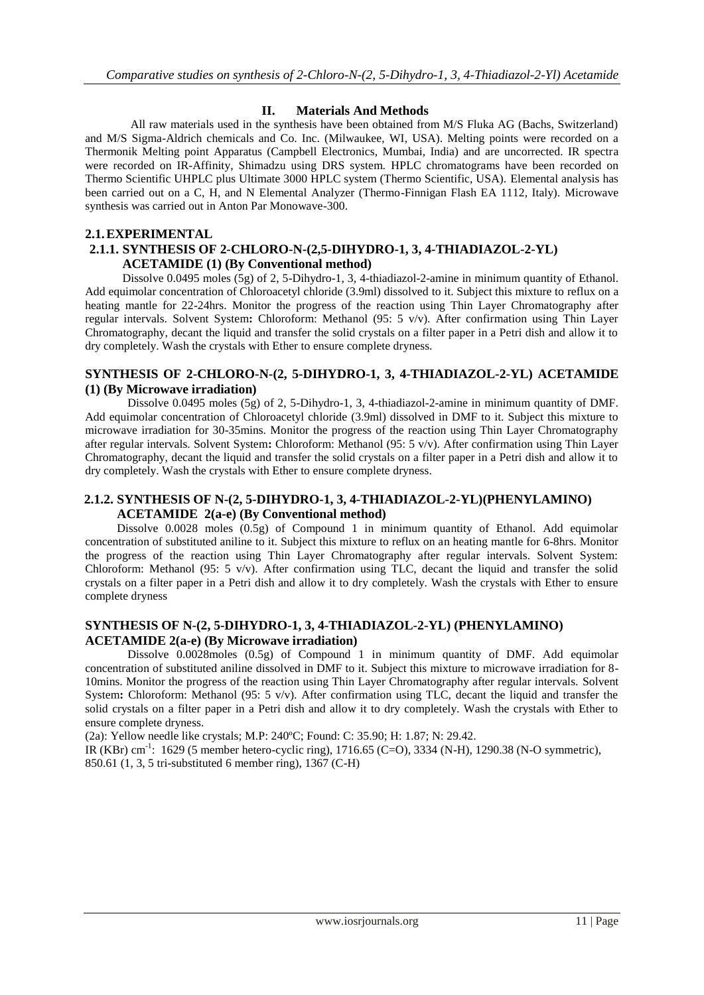## **II. Materials And Methods**

All raw materials used in the synthesis have been obtained from M/S Fluka AG (Bachs, Switzerland) and M/S Sigma-Aldrich chemicals and Co. Inc. (Milwaukee, WI, USA). Melting points were recorded on a Thermonik Melting point Apparatus (Campbell Electronics, Mumbai, India) and are uncorrected. IR spectra were recorded on IR-Affinity, Shimadzu using DRS system. HPLC chromatograms have been recorded on Thermo Scientific UHPLC plus Ultimate 3000 HPLC system (Thermo Scientific, USA). Elemental analysis has been carried out on a C, H, and N Elemental Analyzer (Thermo-Finnigan Flash EA 1112, Italy). Microwave synthesis was carried out in Anton Par Monowave-300.

#### **2.1.EXPERIMENTAL**

# **2.1.1. SYNTHESIS OF 2-CHLORO-N-(2,5-DIHYDRO-1, 3, 4-THIADIAZOL-2-YL) ACETAMIDE (1) (By Conventional method)**

Dissolve 0.0495 moles (5g) of 2, 5-Dihydro-1, 3, 4-thiadiazol-2-amine in minimum quantity of Ethanol. Add equimolar concentration of Chloroacetyl chloride (3.9ml) dissolved to it. Subject this mixture to reflux on a heating mantle for 22-24hrs. Monitor the progress of the reaction using Thin Layer Chromatography after regular intervals. Solvent System**:** Chloroform: Methanol (95: 5 v/v). After confirmation using Thin Layer Chromatography, decant the liquid and transfer the solid crystals on a filter paper in a Petri dish and allow it to dry completely. Wash the crystals with Ether to ensure complete dryness.

#### **SYNTHESIS OF 2-CHLORO-N-(2, 5-DIHYDRO-1, 3, 4-THIADIAZOL-2-YL) ACETAMIDE (1) (By Microwave irradiation)**

Dissolve 0.0495 moles (5g) of 2, 5-Dihydro-1, 3, 4-thiadiazol-2-amine in minimum quantity of DMF. Add equimolar concentration of Chloroacetyl chloride (3.9ml) dissolved in DMF to it. Subject this mixture to microwave irradiation for 30-35mins. Monitor the progress of the reaction using Thin Layer Chromatography after regular intervals. Solvent System**:** Chloroform: Methanol (95: 5 v/v). After confirmation using Thin Layer Chromatography, decant the liquid and transfer the solid crystals on a filter paper in a Petri dish and allow it to dry completely. Wash the crystals with Ether to ensure complete dryness.

#### **2.1.2. SYNTHESIS OF N-(2, 5-DIHYDRO-1, 3, 4-THIADIAZOL-2-YL)(PHENYLAMINO) ACETAMIDE 2(a-e) (By Conventional method)**

Dissolve 0.0028 moles (0.5g) of Compound 1 in minimum quantity of Ethanol. Add equimolar concentration of substituted aniline to it. Subject this mixture to reflux on an heating mantle for 6-8hrs. Monitor the progress of the reaction using Thin Layer Chromatography after regular intervals. Solvent System: Chloroform: Methanol (95: 5 v/v). After confirmation using TLC, decant the liquid and transfer the solid crystals on a filter paper in a Petri dish and allow it to dry completely. Wash the crystals with Ether to ensure complete dryness

#### **SYNTHESIS OF N-(2, 5-DIHYDRO-1, 3, 4-THIADIAZOL-2-YL) (PHENYLAMINO) ACETAMIDE 2(a-e) (By Microwave irradiation)**

Dissolve 0.0028moles (0.5g) of Compound 1 in minimum quantity of DMF. Add equimolar concentration of substituted aniline dissolved in DMF to it. Subject this mixture to microwave irradiation for 8- 10mins. Monitor the progress of the reaction using Thin Layer Chromatography after regular intervals. Solvent System**:** Chloroform: Methanol (95: 5 v/v). After confirmation using TLC, decant the liquid and transfer the solid crystals on a filter paper in a Petri dish and allow it to dry completely. Wash the crystals with Ether to ensure complete dryness.

(2a): Yellow needle like crystals; M.P: 240ºC; Found: C: 35.90; H: 1.87; N: 29.42.

IR (KBr) cm<sup>-1</sup>: 1629 (5 member hetero-cyclic ring), 1716.65 (C=O), 3334 (N-H), 1290.38 (N-O symmetric), 850.61 (1, 3, 5 tri-substituted 6 member ring), 1367 (C-H)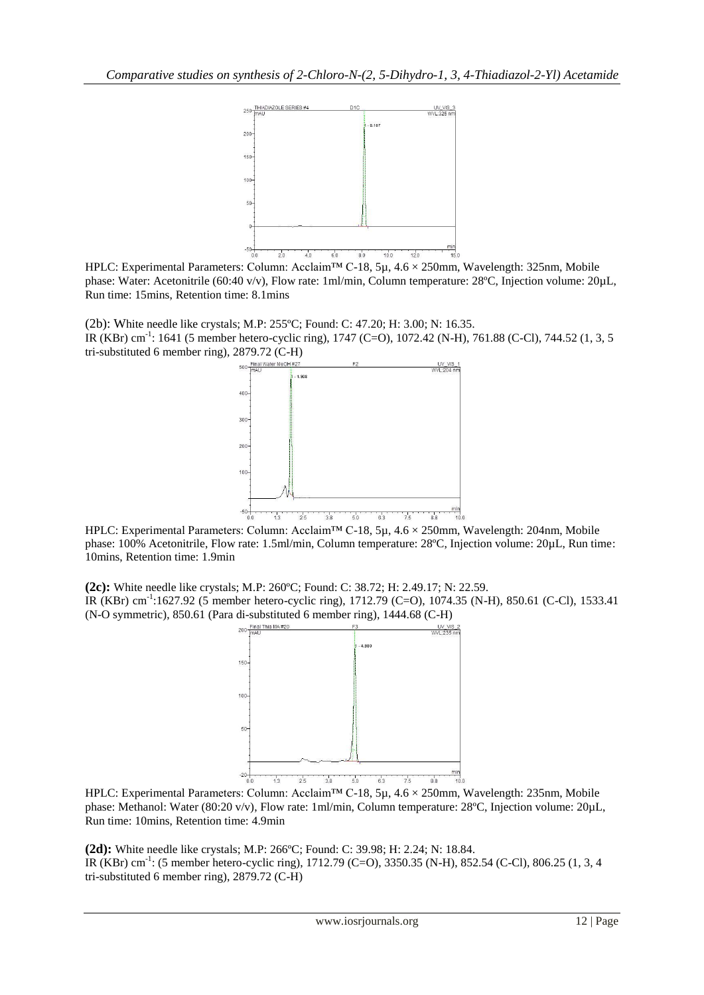

 $HPLC: Experimental Parameters: Column: Acelam<sup>40</sup>$  60  $\frac{1}{60}$  60  $\frac{1}{100}$   $\frac{1}{100}$   $\frac{1}{100}$   $\frac{1}{100}$   $\frac{1}{100}$   $\frac{1}{100}$   $\frac{1}{100}$   $\frac{1}{100}$   $\frac{1}{100}$   $\frac{1}{100}$   $\frac{1}{100}$   $\frac{1}{100}$   $\frac{1}{100}$   $\frac{1}{100}$   $\frac{1}{100}$  phase: Water: Acetonitrile (60:40 v/v), Flow rate: 1ml/min, Column temperature: 28ºC, Injection volume: 20µL, Run time: 15mins, Retention time: 8.1mins

(2b): White needle like crystals; M.P: 255ºC; Found: C: 47.20; H: 3.00; N: 16.35. IR (KBr) cm<sup>-1</sup>: 1641 (5 member hetero-cyclic ring), 1747 (C=O), 1072.42 (N-H), 761.88 (C-Cl), 744.52 (1, 3, 5 tri-substituted 6 member ring), 2879.72 (C-H)



HPLC: Experimental Parameters: Column: Acclaim™ C-18, 5µ, 4.6 × 250mm, Wavelength: 204nm, Mobile phase: 100% Acetonitrile, Flow rate: 1.5ml/min, Column temperature: 28ºC, Injection volume: 20µL, Run time: 10mins, Retention time: 1.9min

**(2c):** White needle like crystals; M.P: 260ºC; Found: C: 38.72; H: 2.49.17; N: 22.59. IR (KBr) cm<sup>-1</sup>:1627.92 (5 member hetero-cyclic ring), 1712.79 (C=O), 1074.35 (N-H), 850.61 (C-Cl), 1533.41 (N-O symmetric), 850.61 (Para di-substituted 6 member ring), 1444.68 (C-H)



HPLC: Experimental Parameters: Column: Acclaim™ C-18, 5µ, 4.6 × 250mm, Wavelength: 235nm, Mobile phase: Methanol: Water (80:20 v/v), Flow rate: 1ml/min, Column temperature: 28°C, Injection volume: 20µL, Run time: 10mins, Retention time: 4.9min

**(2d):** White needle like crystals; M.P: 266ºC; Found: C: 39.98; H: 2.24; N: 18.84. IR (KBr) cm<sup>-1</sup>: (5 member hetero-cyclic ring), 1712.79 (C=O), 3350.35 (N-H), 852.54 (C-Cl), 806.25 (1, 3, 4 tri-substituted 6 member ring), 2879.72 (C-H)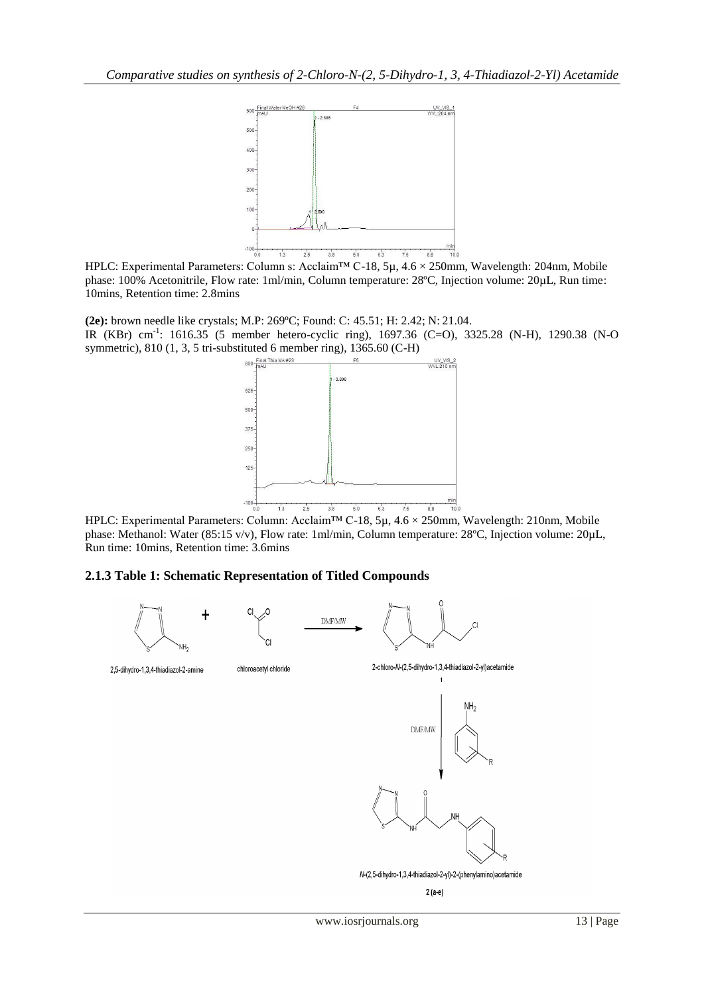

HPLC: Experimental Parameters: Column s: Acclaim™ C-18, 5µ, 4.6 × 250mm, Wavelength: 204nm, Mobile phase: 100% Acetonitrile, Flow rate: 1ml/min, Column temperature: 28ºC, Injection volume: 20µL, Run time: 10mins, Retention time: 2.8mins

**(2e):** brown needle like crystals; M.P: 269ºC; Found: C: 45.51; H: 2.42; N: 21.04. IR (KBr) cm<sup>-1</sup>: 1616.35 (5 member hetero-cyclic ring), 1697.36 (C=O), 3325.28 (N-H), 1290.38 (N-O symmetric), 810 (1, 3, 5 tri-substituted 6 member ring), 1365.60 (C-H)



HPLC: Experimental Parameters: Column: Acclaim™ C-18, 5µ, 4.6 × 250mm, Wavelength: 210nm, Mobile phase: Methanol: Water (85:15 v/v), Flow rate: 1ml/min, Column temperature: 28ºC, Injection volume: 20µL, Run time: 10mins, Retention time: 3.6mins

#### **2.1.3 Table 1: Schematic Representation of Titled Compounds**

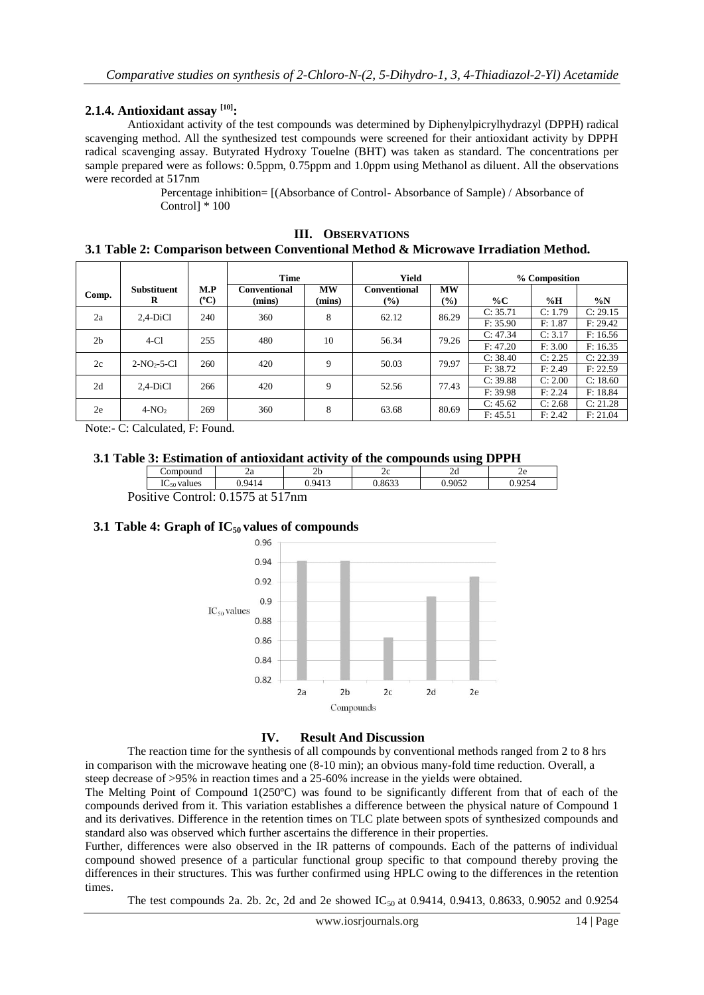## **2.1.4. Antioxidant assay [10]:**

Antioxidant activity of the test compounds was determined by Diphenylpicrylhydrazyl (DPPH) radical scavenging method. All the synthesized test compounds were screened for their antioxidant activity by DPPH radical scavenging assay. Butyrated Hydroxy Touelne (BHT) was taken as standard. The concentrations per sample prepared were as follows: 0.5ppm, 0.75ppm and 1.0ppm using Methanol as diluent. All the observations were recorded at 517nm

> Percentage inhibition= [(Absorbance of Control- Absorbance of Sample) / Absorbance of Control] \* 100

| <b>OBSERVATIONS</b><br>Ш.<br>3.1 Table 2: Comparison between Conventional Method & Microwave Irradiation Method. |                         |             |                               |                     |                               |                            |                      |                    |                      |  |  |  |  |
|------------------------------------------------------------------------------------------------------------------|-------------------------|-------------|-------------------------------|---------------------|-------------------------------|----------------------------|----------------------|--------------------|----------------------|--|--|--|--|
|                                                                                                                  |                         |             | <b>Time</b>                   |                     | Yield                         |                            | % Composition        |                    |                      |  |  |  |  |
| Comp.                                                                                                            | <b>Substituent</b><br>R | M.P<br>(°C) | <b>Conventional</b><br>(mins) | <b>MW</b><br>(mins) | <b>Conventional</b><br>$(\%)$ | <b>MW</b><br>$\frac{9}{6}$ | % $\mathbf C$        | $\%$ H             | $\%N$                |  |  |  |  |
| 2a                                                                                                               | $2.4-DiCl$              | 240         | 360                           | 8                   | 62.12                         | 86.29                      | C: 35.71<br>F: 35.90 | C: 1.79<br>F: 1.87 | C: 29.15<br>F: 29.42 |  |  |  |  |
| 2 <sub>b</sub>                                                                                                   | $4-C1$                  | 255         | 480                           | 10                  | 56.34                         | 79.26                      | C: 47.34<br>F: 47.20 | C: 3.17<br>F: 3.00 | F: 16.56<br>F: 16.35 |  |  |  |  |
| 2c                                                                                                               | $2-NO2-5-Cl$            | 260         | 420                           | 9                   | 50.03                         | 79.97                      | C: 38.40<br>F: 38.72 | C: 2.25<br>F: 2.49 | C: 22.39<br>F: 22.59 |  |  |  |  |
|                                                                                                                  |                         |             |                               |                     |                               |                            | C: 39.88             | C: 2.00            | C: 18,60             |  |  |  |  |

2d 2,4-DiCl 266 420 9 52.56 77.43  $C: 39.88$   $C: 2.00$   $C: 18.60$ 

2e 4-NO<sub>2</sub> 269 360 8 63.68 80.69 C: 45.62 C: 2.68 C: 21.28

Note:- C: Calculated, F: Found.

#### **3.1 Table 3: Estimation of antioxidant activity of the compounds using DPPH**

| .      | .<br>__                          | .<br>. .                            | .<br>------          | . .             | .             |        |  |
|--------|----------------------------------|-------------------------------------|----------------------|-----------------|---------------|--------|--|
|        | ompound                          | ۷a                                  | 2 <sub>1</sub><br>∠∪ | ∼               | ∠u            | ∼      |  |
|        | 70<br>QA1<br>values<br>$4C_{50}$ |                                     | በ 9413<br>᠇ᠷ         | 0.022<br>u.oooo | 0.9052<br>ے ت | ∩ ∩ኅ<∠ |  |
| $\sim$ | $\sim$                           | $\sim$ $\sim$ $\sim$ $\sim$<br>$ -$ |                      |                 |               |        |  |

Positive Control: 0.1575 at 517nm

# **3.1 Table 4: Graph of IC<sup>50</sup> values of compounds**



#### **IV. Result And Discussion**

The reaction time for the synthesis of all compounds by conventional methods ranged from 2 to 8 hrs in comparison with the microwave heating one (8-10 min); an obvious many-fold time reduction. Overall, a steep decrease of >95% in reaction times and a 25-60% increase in the yields were obtained.

The Melting Point of Compound 1(250ºC) was found to be significantly different from that of each of the compounds derived from it. This variation establishes a difference between the physical nature of Compound 1 and its derivatives. Difference in the retention times on TLC plate between spots of synthesized compounds and standard also was observed which further ascertains the difference in their properties.

Further, differences were also observed in the IR patterns of compounds. Each of the patterns of individual compound showed presence of a particular functional group specific to that compound thereby proving the differences in their structures. This was further confirmed using HPLC owing to the differences in the retention times.

The test compounds 2a. 2b. 2c, 2d and 2e showed  $IC_{50}$  at 0.9414, 0.9413, 0.8633, 0.9052 and 0.9254

F: 39.98 F: 2.24 F: 18.84

F: 45.51 F: 2.42 F: 21.04